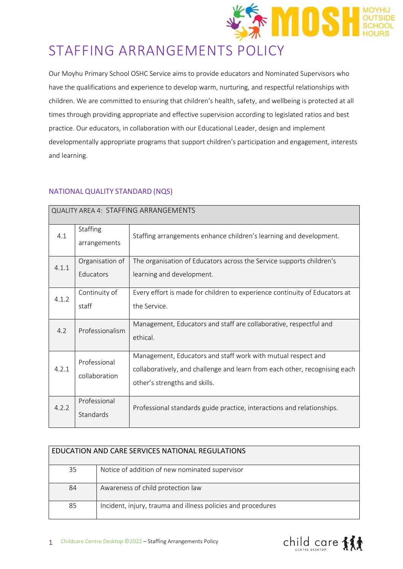

# STAFFING ARRANGEMENTS POLICY

Our Moyhu Primary School OSHC Service aims to provide educators and Nominated Supervisors who have the qualifications and experience to develop warm, nurturing, and respectful relationships with children. We are committed to ensuring that children's health, safety, and wellbeing is protected at all times through providing appropriate and effective supervision according to legislated ratios and best practice. Our educators, in collaboration with our Educational Leader, design and implement developmentally appropriate programs that support children's participation and engagement, interests and learning.

# NATIONAL QUALITY STANDARD (NQS)

| <b>QUALITY AREA 4: STAFFING ARRANGEMENTS</b> |                               |                                                                                                                                                                             |  |
|----------------------------------------------|-------------------------------|-----------------------------------------------------------------------------------------------------------------------------------------------------------------------------|--|
| 4.1                                          | Staffing<br>arrangements      | Staffing arrangements enhance children's learning and development.                                                                                                          |  |
| 4.1.1                                        | Organisation of<br>Educators  | The organisation of Educators across the Service supports children's<br>learning and development.                                                                           |  |
| 4.1.2                                        | Continuity of<br>staff        | Every effort is made for children to experience continuity of Educators at<br>the Service.                                                                                  |  |
| 4.2                                          | Professionalism               | Management, Educators and staff are collaborative, respectful and<br>ethical.                                                                                               |  |
| 4.2.1                                        | Professional<br>collaboration | Management, Educators and staff work with mutual respect and<br>collaboratively, and challenge and learn from each other, recognising each<br>other's strengths and skills. |  |
| 4.2.2                                        | Professional<br>Standards     | Professional standards guide practice, interactions and relationships.                                                                                                      |  |

|    | EDUCATION AND CARE SERVICES NATIONAL REGULATIONS             |
|----|--------------------------------------------------------------|
| 35 | Notice of addition of new nominated supervisor               |
| 84 | Awareness of child protection law                            |
| 85 | Incident, injury, trauma and illness policies and procedures |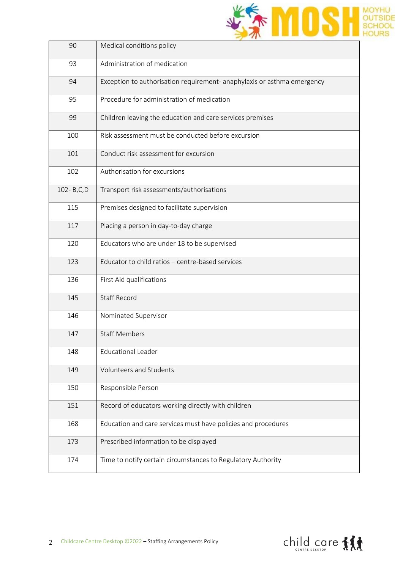

| 90        | Medical conditions policy                                               |
|-----------|-------------------------------------------------------------------------|
| 93        | Administration of medication                                            |
| 94        | Exception to authorisation requirement- anaphylaxis or asthma emergency |
| 95        | Procedure for administration of medication                              |
| 99        | Children leaving the education and care services premises               |
| 100       | Risk assessment must be conducted before excursion                      |
| 101       | Conduct risk assessment for excursion                                   |
| 102       | Authorisation for excursions                                            |
| 102-B,C,D | Transport risk assessments/authorisations                               |
| 115       | Premises designed to facilitate supervision                             |
| 117       | Placing a person in day-to-day charge                                   |
| 120       | Educators who are under 18 to be supervised                             |
| 123       | Educator to child ratios - centre-based services                        |
| 136       | First Aid qualifications                                                |
| 145       | <b>Staff Record</b>                                                     |
| 146       | Nominated Supervisor                                                    |
| 147       | <b>Staff Members</b>                                                    |
| 148       | <b>Educational Leader</b>                                               |
| 149       | Volunteers and Students                                                 |
| 150       | Responsible Person                                                      |
| 151       | Record of educators working directly with children                      |
| 168       | Education and care services must have policies and procedures           |
| 173       | Prescribed information to be displayed                                  |
| 174       | Time to notify certain circumstances to Regulatory Authority            |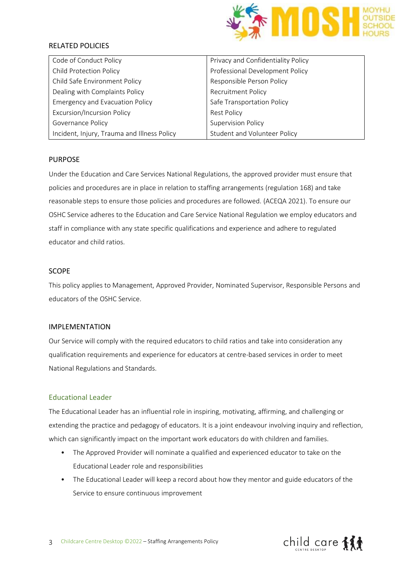

## RELATED POLICIES

| Code of Conduct Policy                      | Privacy and Confidentiality Policy |
|---------------------------------------------|------------------------------------|
| <b>Child Protection Policy</b>              | Professional Development Policy    |
| Child Safe Environment Policy               | Responsible Person Policy          |
| Dealing with Complaints Policy              | <b>Recruitment Policy</b>          |
| <b>Emergency and Evacuation Policy</b>      | Safe Transportation Policy         |
| <b>Excursion/Incursion Policy</b>           | <b>Rest Policy</b>                 |
| Governance Policy                           | <b>Supervision Policy</b>          |
| Incident, Injury, Trauma and Illness Policy | Student and Volunteer Policy       |

#### PURPOSE

Under the Education and Care Services National Regulations, the approved provider must ensure that policies and procedures are in place in relation to staffing arrangements (regulation 168) and take reasonable steps to ensure those policies and procedures are followed. (ACEQA 2021). To ensure our OSHC Service adheres to the Education and Care Service National Regulation we employ educators and staff in compliance with any state specific qualifications and experience and adhere to regulated educator and child ratios.

#### SCOPE

This policy applies to Management, Approved Provider, Nominated Supervisor, Responsible Persons and educators of the OSHC Service.

#### IMPLEMENTATION

Our Service will comply with the required educators to child ratios and take into consideration any qualification requirements and experience for educators at centre-based services in order to meet National Regulations and Standards.

## Educational Leader

The Educational Leader has an influential role in inspiring, motivating, affirming, and challenging or extending the practice and pedagogy of educators. It is a joint endeavour involving inquiry and reflection, which can significantly impact on the important work educators do with children and families.

- The Approved Provider will nominate a qualified and experienced educator to take on the Educational Leader role and responsibilities
- The Educational Leader will keep a record about how they mentor and guide educators of the Service to ensure continuous improvement

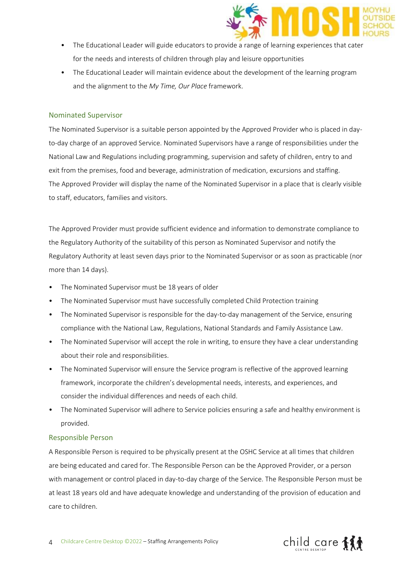

- The Educational Leader will guide educators to provide a range of learning experiences that cater for the needs and interests of children through play and leisure opportunities
- The Educational Leader will maintain evidence about the development of the learning program and the alignment to the *My Time, Our Place* framework.

#### Nominated Supervisor

The Nominated Supervisor is a suitable person appointed by the Approved Provider who is placed in dayto-day charge of an approved Service. Nominated Supervisors have a range of responsibilities under the National Law and Regulations including programming, supervision and safety of children, entry to and exit from the premises, food and beverage, administration of medication, excursions and staffing. The Approved Provider will display the name of the Nominated Supervisor in a place that is clearly visible to staff, educators, families and visitors.

The Approved Provider must provide sufficient evidence and information to demonstrate compliance to the Regulatory Authority of the suitability of this person as Nominated Supervisor and notify the Regulatory Authority at least seven days prior to the Nominated Supervisor or as soon as practicable (nor more than 14 days).

- The Nominated Supervisor must be 18 years of older
- The Nominated Supervisor must have successfully completed Child Protection training
- The Nominated Supervisor is responsible for the day-to-day management of the Service, ensuring compliance with the National Law, Regulations, National Standards and Family Assistance Law.
- The Nominated Supervisor will accept the role in writing, to ensure they have a clear understanding about their role and responsibilities.
- The Nominated Supervisor will ensure the Service program is reflective of the approved learning framework, incorporate the children's developmental needs, interests, and experiences, and consider the individual differences and needs of each child.
- The Nominated Supervisor will adhere to Service policies ensuring a safe and healthy environment is provided.

#### Responsible Person

A Responsible Person is required to be physically present at the OSHC Service at all times that children are being educated and cared for. The Responsible Person can be the Approved Provider, or a person with management or control placed in day-to-day charge of the Service. The Responsible Person must be at least 18 years old and have adequate knowledge and understanding of the provision of education and care to children.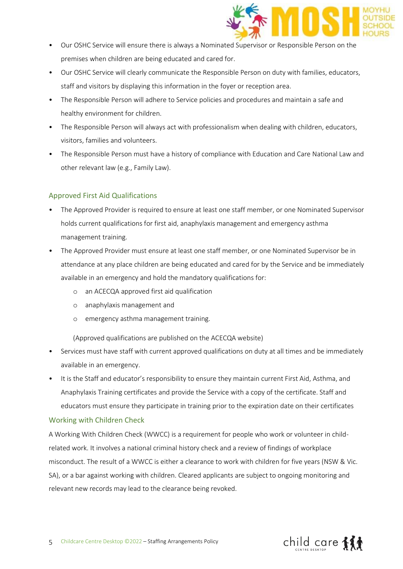

- Our OSHC Service will ensure there is always a Nominated Supervisor or Responsible Person on the premises when children are being educated and cared for.
- Our OSHC Service will clearly communicate the Responsible Person on duty with families, educators, staff and visitors by displaying this information in the foyer or reception area.
- The Responsible Person will adhere to Service policies and procedures and maintain a safe and healthy environment for children.
- The Responsible Person will always act with professionalism when dealing with children, educators, visitors, families and volunteers.
- The Responsible Person must have a history of compliance with Education and Care National Law and other relevant law (e.g., Family Law).

# Approved First Aid Qualifications

- The Approved Provider is required to ensure at least one staff member, or one Nominated Supervisor holds current qualifications for first aid, anaphylaxis management and emergency asthma management training.
- The Approved Provider must ensure at least one staff member, or one Nominated Supervisor be in attendance at any place children are being educated and cared for by the Service and be immediately available in an emergency and hold the mandatory qualifications for:
	- o an ACECQA approved first aid qualification
	- o anaphylaxis management and
	- o emergency asthma management training.

(Approved qualifications are published on the ACECQA website)

- Services must have staff with current approved qualifications on duty at all times and be immediately available in an emergency.
- It is the Staff and educator's responsibility to ensure they maintain current First Aid, Asthma, and Anaphylaxis Training certificates and provide the Service with a copy of the certificate. Staff and educators must ensure they participate in training prior to the expiration date on their certificates

# Working with Children Check

A Working With Children Check (WWCC) is a requirement for people who work or volunteer in childrelated work. It involves a national criminal history check and a review of findings of workplace misconduct. The result of a WWCC is either a clearance to work with children for five years (NSW & Vic. SA), or a bar against working with children. Cleared applicants are subject to ongoing monitoring and relevant new records may lead to the clearance being revoked.

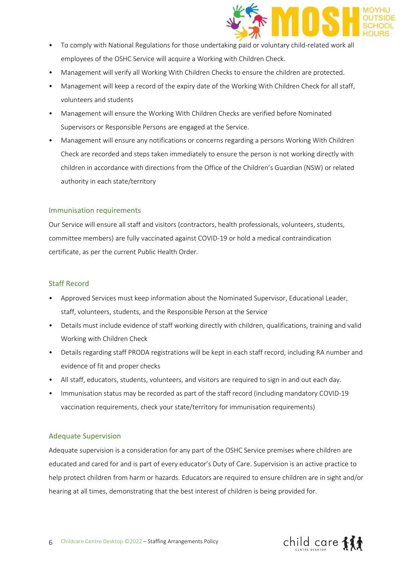

- To comply with National Regulations for those undertaking paid or voluntary child-related work all employees of the OSHC Service will acquire a Working with Children Check.
- Management will verify all Working With Children Checks to ensure the children are protected.
- Management will keep a record of the expiry date of the Working With Children Check for all staff, volunteers and students
- Management will ensure the Working With Children Checks are verified before Nominated Supervisors or Responsible Persons are engaged at the Service.
- Management will ensure any notifications or concerns regarding a persons Working With Children Check are recorded and steps taken immediately to ensure the person is not working directly with children in accordance with directions from the Office of the Children's Guardian (NSW) or related authority in each state/territory

### Immunisation requirements

Our Service will ensure all staff and visitors (contractors, health professionals, volunteers, students, committee members) are fully vaccinated against COVID-19 or hold a medical contraindication certificate, as per the current Public Health Order.

## Staff Record

- Approved Services must keep information about the Nominated Supervisor, Educational Leader, staff, volunteers, students, and the Responsible Person at the Service
- Details must include evidence of staff working directly with children, qualifications, training and valid Working with Children Check
- Details regarding staff PRODA registrations will be kept in each staff record, including RA number and evidence of fit and proper checks
- All staff, educators, students, volunteers, and visitors are required to sign in and out each day.
- Immunisation status may be recorded as part of the staff record (including mandatory COVID-19 vaccination requirements, check your state/territory for immunisation requirements)

# Adequate Supervision

Adequate supervision is a consideration for any part of the OSHC Service premises where children are educated and cared for and is part of every educator's Duty of Care. Supervision is an active practice to help protect children from harm or hazards. Educators are required to ensure children are in sight and/or hearing at all times, demonstrating that the best interest of children is being provided for.

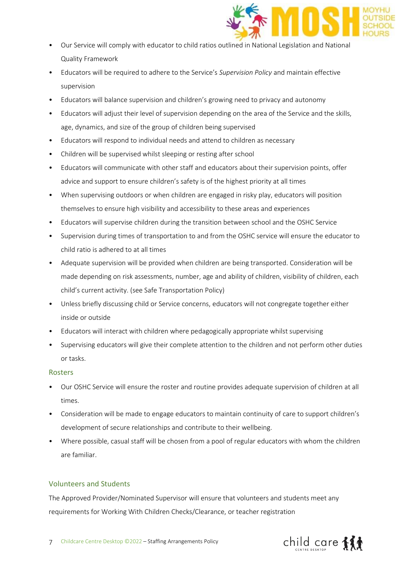

- Our Service will comply with educator to child ratios outlined in National Legislation and National Quality Framework
- Educators will be required to adhere to the Service's *Supervision Policy* and maintain effective supervision
- Educators will balance supervision and children's growing need to privacy and autonomy
- Educators will adjust their level of supervision depending on the area of the Service and the skills, age, dynamics, and size of the group of children being supervised
- Educators will respond to individual needs and attend to children as necessary
- Children will be supervised whilst sleeping or resting after school
- Educators will communicate with other staff and educators about their supervision points, offer advice and support to ensure children's safety is of the highest priority at all times
- When supervising outdoors or when children are engaged in risky play, educators will position themselves to ensure high visibility and accessibility to these areas and experiences
- Educators will supervise children during the transition between school and the OSHC Service
- Supervision during times of transportation to and from the OSHC service will ensure the educator to child ratio is adhered to at all times
- Adequate supervision will be provided when children are being transported. Consideration will be made depending on risk assessments, number, age and ability of children, visibility of children, each child's current activity. (see Safe Transportation Policy)
- Unless briefly discussing child or Service concerns, educators will not congregate together either inside or outside
- Educators will interact with children where pedagogically appropriate whilst supervising
- Supervising educators will give their complete attention to the children and not perform other duties or tasks.

# Rosters

- Our OSHC Service will ensure the roster and routine provides adequate supervision of children at all times.
- Consideration will be made to engage educators to maintain continuity of care to support children's development of secure relationships and contribute to their wellbeing.
- Where possible, casual staff will be chosen from a pool of regular educators with whom the children are familiar.

# Volunteers and Students

The Approved Provider/Nominated Supervisor will ensure that volunteers and students meet any requirements for Working With Children Checks/Clearance, or teacher registration

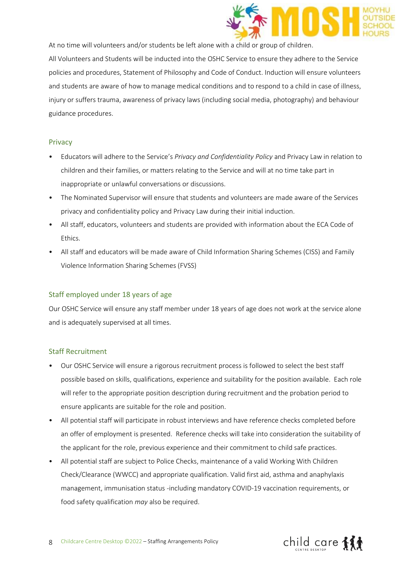

At no time will volunteers and/or students be left alone with a child or group of children.

All Volunteers and Students will be inducted into the OSHC Service to ensure they adhere to the Service policies and procedures, Statement of Philosophy and Code of Conduct. Induction will ensure volunteers and students are aware of how to manage medical conditions and to respond to a child in case of illness, injury or suffers trauma, awareness of privacy laws (including social media, photography) and behaviour guidance procedures.

#### Privacy

- Educators will adhere to the Service's *Privacy and Confidentiality Policy* and Privacy Law in relation to children and their families, or matters relating to the Service and will at no time take part in inappropriate or unlawful conversations or discussions.
- The Nominated Supervisor will ensure that students and volunteers are made aware of the Services privacy and confidentiality policy and Privacy Law during their initial induction.
- All staff, educators, volunteers and students are provided with information about the ECA Code of Ethics.
- All staff and educators will be made aware of Child Information Sharing Schemes (CISS) and Family Violence Information Sharing Schemes (FVSS)

# Staff employed under 18 years of age

Our OSHC Service will ensure any staff member under 18 years of age does not work at the service alone and is adequately supervised at all times.

#### Staff Recruitment

- Our OSHC Service will ensure a rigorous recruitment process is followed to select the best staff possible based on skills, qualifications, experience and suitability for the position available. Each role will refer to the appropriate position description during recruitment and the probation period to ensure applicants are suitable for the role and position.
- All potential staff will participate in robust interviews and have reference checks completed before an offer of employment is presented. Reference checks will take into consideration the suitability of the applicant for the role, previous experience and their commitment to child safe practices.
- All potential staff are subject to Police Checks, maintenance of a valid Working With Children Check/Clearance (WWCC) and appropriate qualification. Valid first aid, asthma and anaphylaxis management, immunisation status -including mandatory COVID-19 vaccination requirements, or food safety qualification *may* also be required.

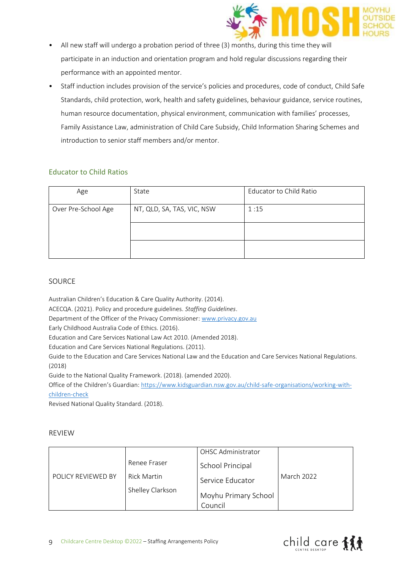

- All new staff will undergo a probation period of three (3) months, during this time they will participate in an induction and orientation program and hold regular discussions regarding their performance with an appointed mentor.
- Staff induction includes provision of the service's policies and procedures, code of conduct, Child Safe Standards, child protection, work, health and safety guidelines, behaviour guidance, service routines, human resource documentation, physical environment, communication with families' processes, Family Assistance Law, administration of Child Care Subsidy, Child Information Sharing Schemes and introduction to senior staff members and/or mentor.

# Educator to Child Ratios

| Age                 | State                      | <b>Educator to Child Ratio</b> |
|---------------------|----------------------------|--------------------------------|
| Over Pre-School Age | NT, QLD, SA, TAS, VIC, NSW | 1:15                           |
|                     |                            |                                |
|                     |                            |                                |

### SOURCE

Australian Children's Education & Care Quality Authority. (2014).

ACECQA. (2021). Policy and procedure guidelines. *Staffing Guidelines*.

Department of the Officer of the Privacy Commissioner: [www.privacy.gov.au](http://www.privacy.gov.au/) 

Early Childhood Australia Code of Ethics. (2016).

Education and Care Services National Law Act 2010. (Amended 2018).

Education and Care Services National Regulations. (2011).

Guide to the Education and Care Services National Law and the Education and Care Services National Regulations. (2018)

Guide to the National Quality Framework. (2018). (amended 2020).

Office of the Children's Guardian: [https://www.kidsguardian.nsw.gov.au/child-safe-organisations/working-with](https://www.kidsguardian.nsw.gov.au/child-safe-organisations/working-with-children-check)[children-check](https://www.kidsguardian.nsw.gov.au/child-safe-organisations/working-with-children-check)

Revised National Quality Standard. (2018).

#### REVIEW

|                    |                    | OHSC Administrator              |            |
|--------------------|--------------------|---------------------------------|------------|
|                    | Renee Fraser       | School Principal                | March 2022 |
| POLICY REVIEWED BY | <b>Rick Martin</b> | Service Educator                |            |
|                    | Shelley Clarkson   | Moyhu Primary School<br>Council |            |